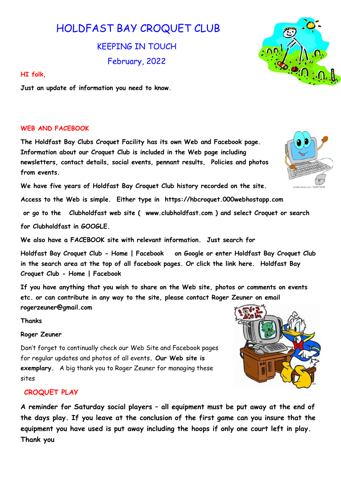# HOLDFAST BAY CROQUET CLUB

KEEPING IN TOUCH February, 2022

### HI folk,

Just an update of information you need to know.

## WEB AND FACEBOOK

The Holdfast Bay Clubs Croquet Facility has its own Web and Facebook page. Information about our Croquet Club is included in the Web page including newsletters, contact details, social events, pennant results, Policies and photos from events.

We have five years of Holdfast Bay Croquet Club history recorded on the site.

Access to the Web is simple. Either type in https://hbcroquet.000webhostapp.com

 or go to the Clubholdfast web site ( www.clubholdfast.com ) and select Croquet or search for Clubholdfast in GOOGLE.

We also have a FACEBOOK site with relevant information. Just search for

Holdfast Bay Croquet Club - Home | Facebook on Google or enter Holdfast Bay Croquet Club in the search area at the top of all facebook pages. Or click the link here. Holdfast Bay Croquet Club - Home | Facebook

If you have anything that you wish to share on the Web site, photos or comments on events etc. or can contribute in any way to the site, please contact Roger Zeuner on email rogerzeuner@gmail.com

Thanks

#### Roger Zeuner

Don't forget to continually check our Web Site and Facebook pages for regular updates and photos of all events. Our Web site is exemplary. A big thank you to Roger Zeuner for managing these sites

## CROQUET PLAY

A reminder for Saturday social players – all equipment must be put away at the end of the days play. If you leave at the conclusion of the first game can you insure that the equipment you have used is put away including the hoops if only one court left in play. Thank you